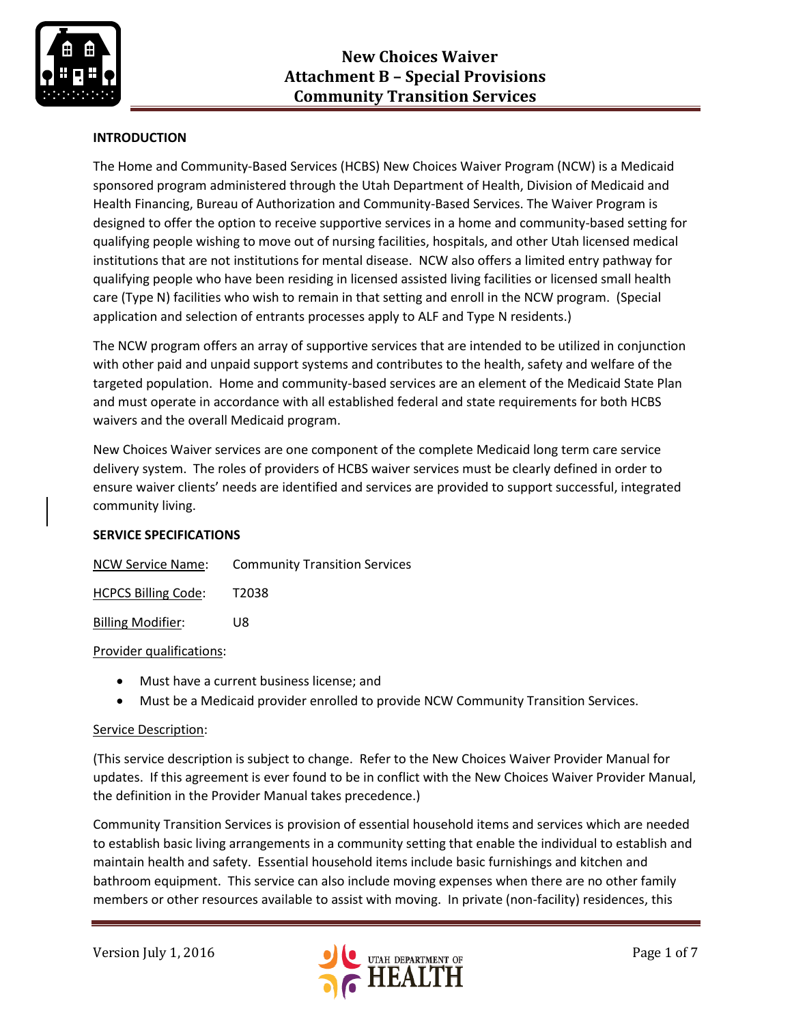

# **INTRODUCTION**

The Home and Community-Based Services (HCBS) New Choices Waiver Program (NCW) is a Medicaid sponsored program administered through the Utah Department of Health, Division of Medicaid and Health Financing, Bureau of Authorization and Community-Based Services. The Waiver Program is designed to offer the option to receive supportive services in a home and community-based setting for qualifying people wishing to move out of nursing facilities, hospitals, and other Utah licensed medical institutions that are not institutions for mental disease. NCW also offers a limited entry pathway for qualifying people who have been residing in licensed assisted living facilities or licensed small health care (Type N) facilities who wish to remain in that setting and enroll in the NCW program. (Special application and selection of entrants processes apply to ALF and Type N residents.)

The NCW program offers an array of supportive services that are intended to be utilized in conjunction with other paid and unpaid support systems and contributes to the health, safety and welfare of the targeted population. Home and community-based services are an element of the Medicaid State Plan and must operate in accordance with all established federal and state requirements for both HCBS waivers and the overall Medicaid program.

New Choices Waiver services are one component of the complete Medicaid long term care service delivery system. The roles of providers of HCBS waiver services must be clearly defined in order to ensure waiver clients' needs are identified and services are provided to support successful, integrated community living.

## **SERVICE SPECIFICATIONS**

| <b>NCW Service Name:</b> | <b>Community Transition Services</b> |
|--------------------------|--------------------------------------|
|                          |                                      |

HCPCS Billing Code: T2038

Billing Modifier: U8

#### Provider qualifications:

- Must have a current business license; and
- Must be a Medicaid provider enrolled to provide NCW Community Transition Services.

## Service Description:

(This service description is subject to change. Refer to the New Choices Waiver Provider Manual for updates. If this agreement is ever found to be in conflict with the New Choices Waiver Provider Manual, the definition in the Provider Manual takes precedence.)

Community Transition Services is provision of essential household items and services which are needed to establish basic living arrangements in a community setting that enable the individual to establish and maintain health and safety. Essential household items include basic furnishings and kitchen and bathroom equipment. This service can also include moving expenses when there are no other family members or other resources available to assist with moving. In private (non-facility) residences, this

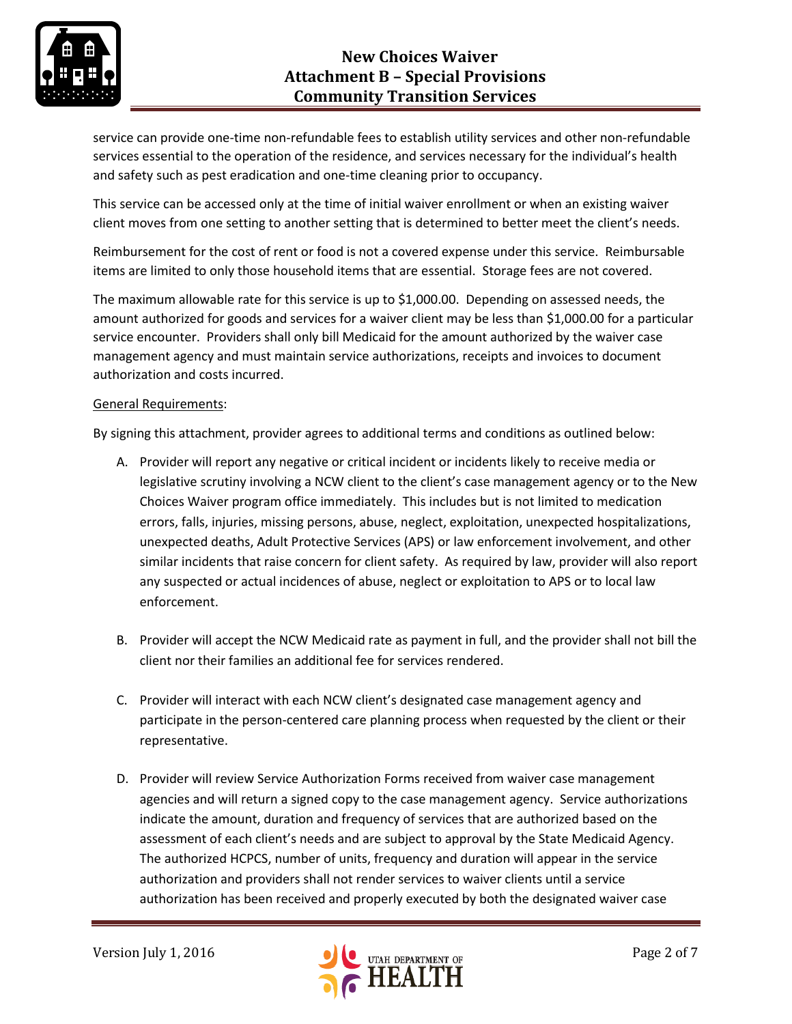

service can provide one-time non-refundable fees to establish utility services and other non-refundable services essential to the operation of the residence, and services necessary for the individual's health and safety such as pest eradication and one-time cleaning prior to occupancy.

This service can be accessed only at the time of initial waiver enrollment or when an existing waiver client moves from one setting to another setting that is determined to better meet the client's needs.

Reimbursement for the cost of rent or food is not a covered expense under this service. Reimbursable items are limited to only those household items that are essential. Storage fees are not covered.

The maximum allowable rate for this service is up to \$1,000.00. Depending on assessed needs, the amount authorized for goods and services for a waiver client may be less than \$1,000.00 for a particular service encounter. Providers shall only bill Medicaid for the amount authorized by the waiver case management agency and must maintain service authorizations, receipts and invoices to document authorization and costs incurred.

#### General Requirements:

By signing this attachment, provider agrees to additional terms and conditions as outlined below:

- A. Provider will report any negative or critical incident or incidents likely to receive media or legislative scrutiny involving a NCW client to the client's case management agency or to the New Choices Waiver program office immediately. This includes but is not limited to medication errors, falls, injuries, missing persons, abuse, neglect, exploitation, unexpected hospitalizations, unexpected deaths, Adult Protective Services (APS) or law enforcement involvement, and other similar incidents that raise concern for client safety. As required by law, provider will also report any suspected or actual incidences of abuse, neglect or exploitation to APS or to local law enforcement.
- B. Provider will accept the NCW Medicaid rate as payment in full, and the provider shall not bill the client nor their families an additional fee for services rendered.
- C. Provider will interact with each NCW client's designated case management agency and participate in the person-centered care planning process when requested by the client or their representative.
- D. Provider will review Service Authorization Forms received from waiver case management agencies and will return a signed copy to the case management agency. Service authorizations indicate the amount, duration and frequency of services that are authorized based on the assessment of each client's needs and are subject to approval by the State Medicaid Agency. The authorized HCPCS, number of units, frequency and duration will appear in the service authorization and providers shall not render services to waiver clients until a service authorization has been received and properly executed by both the designated waiver case

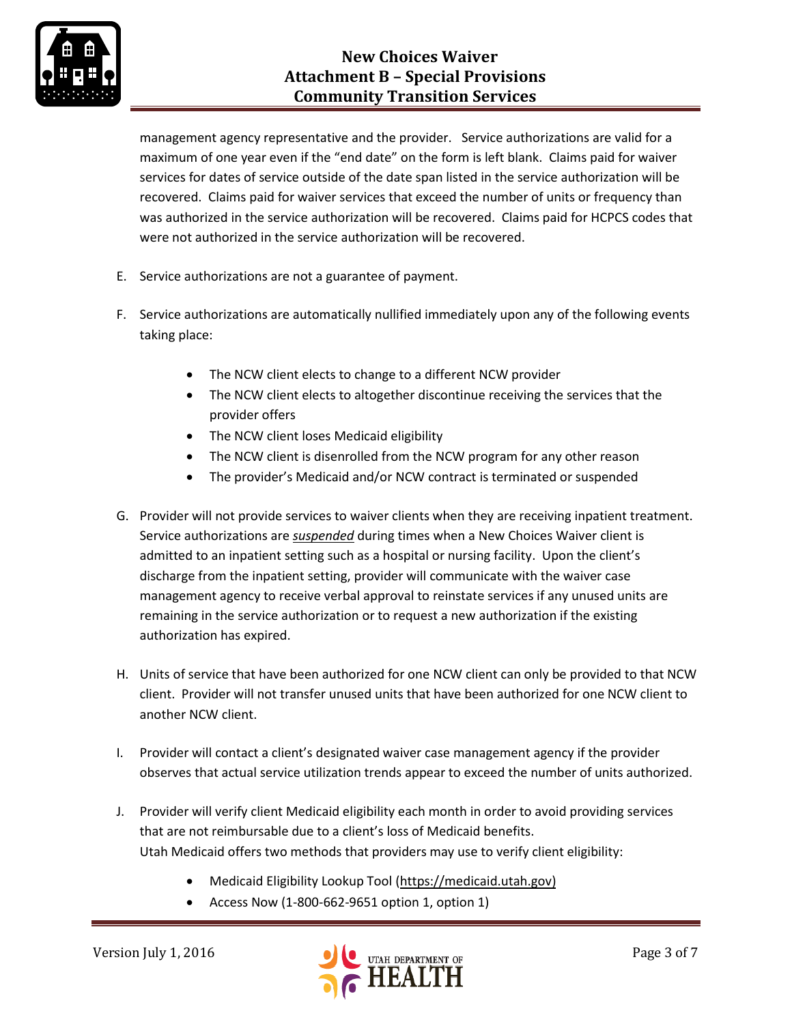

management agency representative and the provider. Service authorizations are valid for a maximum of one year even if the "end date" on the form is left blank. Claims paid for waiver services for dates of service outside of the date span listed in the service authorization will be recovered. Claims paid for waiver services that exceed the number of units or frequency than was authorized in the service authorization will be recovered. Claims paid for HCPCS codes that were not authorized in the service authorization will be recovered.

- E. Service authorizations are not a guarantee of payment.
- F. Service authorizations are automatically nullified immediately upon any of the following events taking place:
	- The NCW client elects to change to a different NCW provider
	- The NCW client elects to altogether discontinue receiving the services that the provider offers
	- The NCW client loses Medicaid eligibility
	- The NCW client is disenrolled from the NCW program for any other reason
	- The provider's Medicaid and/or NCW contract is terminated or suspended
- G. Provider will not provide services to waiver clients when they are receiving inpatient treatment. Service authorizations are *suspended* during times when a New Choices Waiver client is admitted to an inpatient setting such as a hospital or nursing facility. Upon the client's discharge from the inpatient setting, provider will communicate with the waiver case management agency to receive verbal approval to reinstate services if any unused units are remaining in the service authorization or to request a new authorization if the existing authorization has expired.
- H. Units of service that have been authorized for one NCW client can only be provided to that NCW client. Provider will not transfer unused units that have been authorized for one NCW client to another NCW client.
- I. Provider will contact a client's designated waiver case management agency if the provider observes that actual service utilization trends appear to exceed the number of units authorized.
- J. Provider will verify client Medicaid eligibility each month in order to avoid providing services that are not reimbursable due to a client's loss of Medicaid benefits. Utah Medicaid offers two methods that providers may use to verify client eligibility:
	- Medicaid Eligibility Lookup Tool [\(https://medicaid.utah.gov\)](https://medicaid.utah.gov/)
	- Access Now (1-800-662-9651 option 1, option 1)

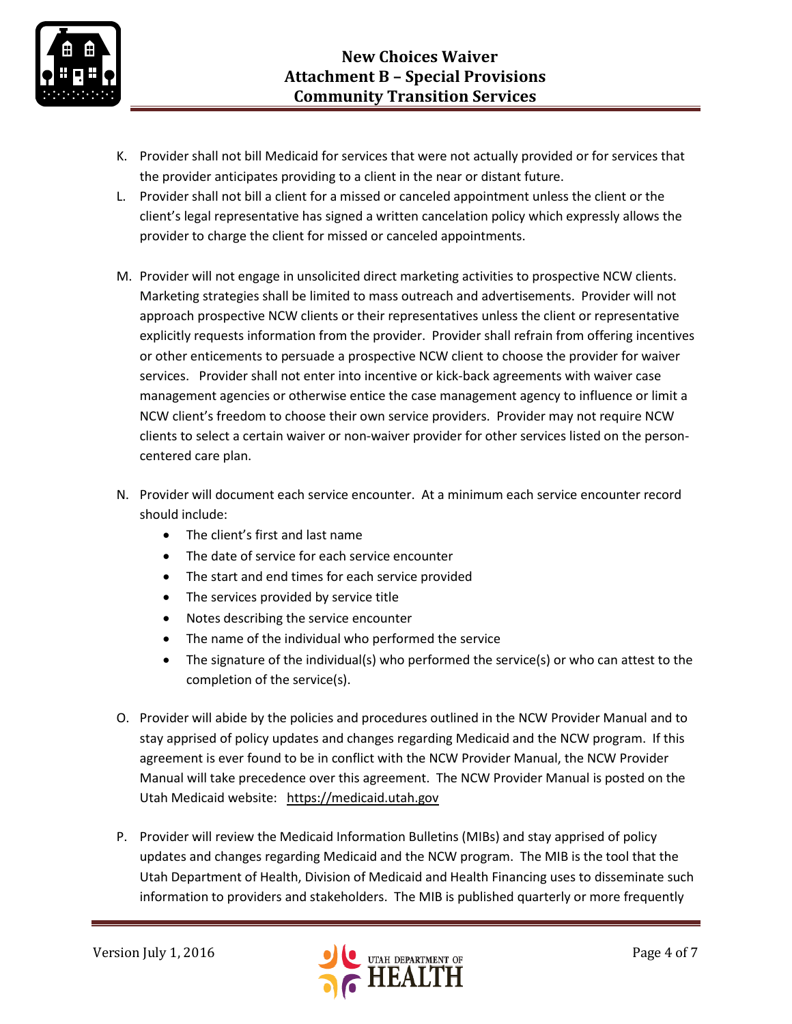

- K. Provider shall not bill Medicaid for services that were not actually provided or for services that the provider anticipates providing to a client in the near or distant future.
- L. Provider shall not bill a client for a missed or canceled appointment unless the client or the client's legal representative has signed a written cancelation policy which expressly allows the provider to charge the client for missed or canceled appointments.
- M. Provider will not engage in unsolicited direct marketing activities to prospective NCW clients. Marketing strategies shall be limited to mass outreach and advertisements. Provider will not approach prospective NCW clients or their representatives unless the client or representative explicitly requests information from the provider. Provider shall refrain from offering incentives or other enticements to persuade a prospective NCW client to choose the provider for waiver services. Provider shall not enter into incentive or kick-back agreements with waiver case management agencies or otherwise entice the case management agency to influence or limit a NCW client's freedom to choose their own service providers. Provider may not require NCW clients to select a certain waiver or non-waiver provider for other services listed on the personcentered care plan.
- N. Provider will document each service encounter. At a minimum each service encounter record should include:
	- The client's first and last name
	- The date of service for each service encounter
	- The start and end times for each service provided
	- The services provided by service title
	- Notes describing the service encounter
	- The name of the individual who performed the service
	- The signature of the individual(s) who performed the service(s) or who can attest to the completion of the service(s).
- O. Provider will abide by the policies and procedures outlined in the NCW Provider Manual and to stay apprised of policy updates and changes regarding Medicaid and the NCW program. If this agreement is ever found to be in conflict with the NCW Provider Manual, the NCW Provider Manual will take precedence over this agreement. The NCW Provider Manual is posted on the Utah Medicaid website: [https://medicaid.utah.gov](https://medicaid.utah.gov/)
- P. Provider will review the Medicaid Information Bulletins (MIBs) and stay apprised of policy updates and changes regarding Medicaid and the NCW program. The MIB is the tool that the Utah Department of Health, Division of Medicaid and Health Financing uses to disseminate such information to providers and stakeholders. The MIB is published quarterly or more frequently

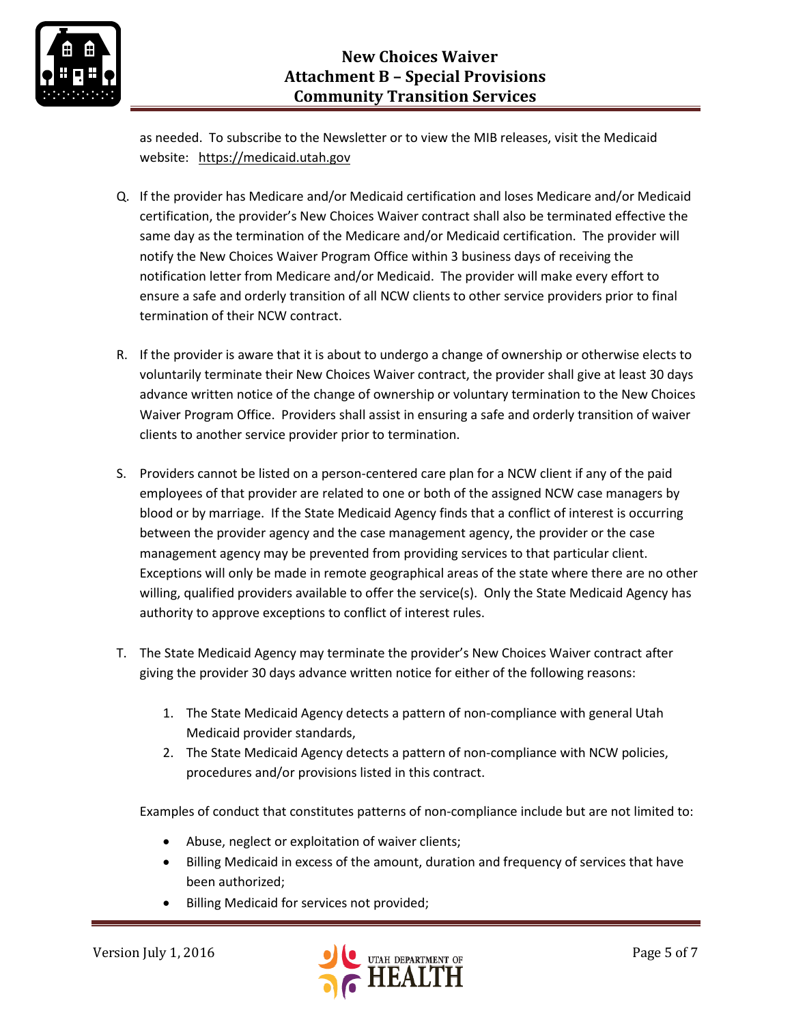

as needed. To subscribe to the Newsletter or to view the MIB releases, visit the Medicaid website: [https://medicaid.utah.gov](https://medicaid.utah.gov/)

- Q. If the provider has Medicare and/or Medicaid certification and loses Medicare and/or Medicaid certification, the provider's New Choices Waiver contract shall also be terminated effective the same day as the termination of the Medicare and/or Medicaid certification. The provider will notify the New Choices Waiver Program Office within 3 business days of receiving the notification letter from Medicare and/or Medicaid. The provider will make every effort to ensure a safe and orderly transition of all NCW clients to other service providers prior to final termination of their NCW contract.
- R. If the provider is aware that it is about to undergo a change of ownership or otherwise elects to voluntarily terminate their New Choices Waiver contract, the provider shall give at least 30 days advance written notice of the change of ownership or voluntary termination to the New Choices Waiver Program Office. Providers shall assist in ensuring a safe and orderly transition of waiver clients to another service provider prior to termination.
- S. Providers cannot be listed on a person-centered care plan for a NCW client if any of the paid employees of that provider are related to one or both of the assigned NCW case managers by blood or by marriage. If the State Medicaid Agency finds that a conflict of interest is occurring between the provider agency and the case management agency, the provider or the case management agency may be prevented from providing services to that particular client. Exceptions will only be made in remote geographical areas of the state where there are no other willing, qualified providers available to offer the service(s). Only the State Medicaid Agency has authority to approve exceptions to conflict of interest rules.
- T. The State Medicaid Agency may terminate the provider's New Choices Waiver contract after giving the provider 30 days advance written notice for either of the following reasons:
	- 1. The State Medicaid Agency detects a pattern of non-compliance with general Utah Medicaid provider standards,
	- 2. The State Medicaid Agency detects a pattern of non-compliance with NCW policies, procedures and/or provisions listed in this contract.

Examples of conduct that constitutes patterns of non-compliance include but are not limited to:

- Abuse, neglect or exploitation of waiver clients;
- Billing Medicaid in excess of the amount, duration and frequency of services that have been authorized;
- Billing Medicaid for services not provided;

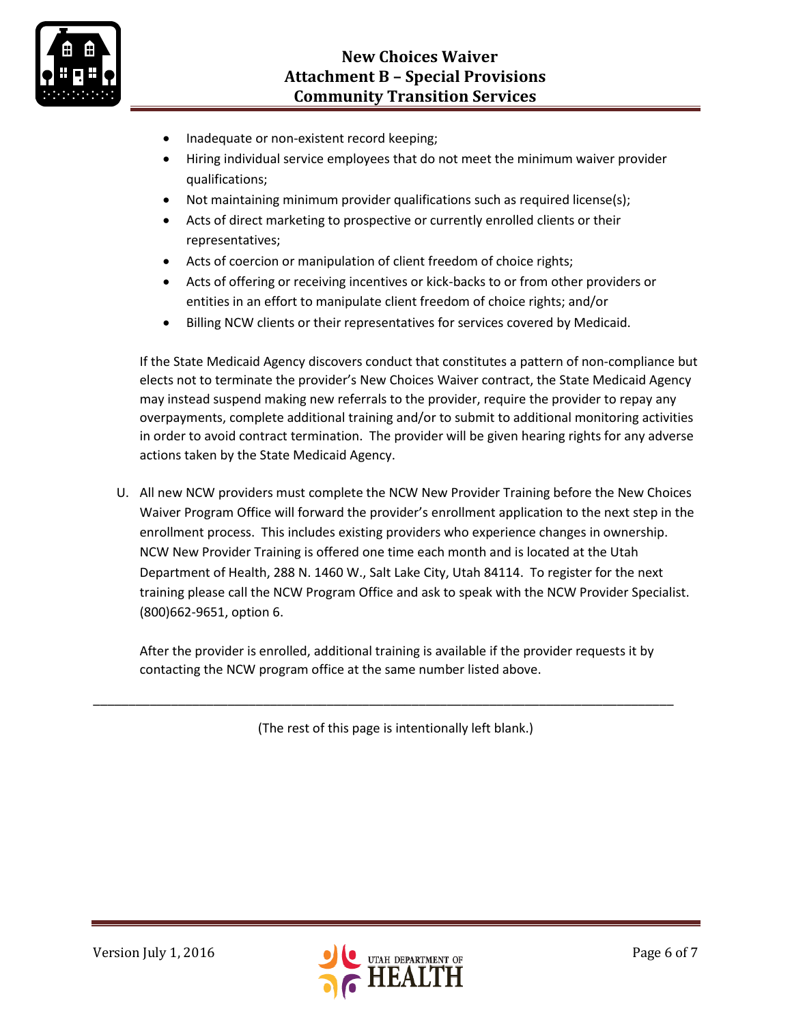

- Inadequate or non-existent record keeping;
- Hiring individual service employees that do not meet the minimum waiver provider qualifications;
- Not maintaining minimum provider qualifications such as required license(s);
- Acts of direct marketing to prospective or currently enrolled clients or their representatives;
- Acts of coercion or manipulation of client freedom of choice rights;
- Acts of offering or receiving incentives or kick-backs to or from other providers or entities in an effort to manipulate client freedom of choice rights; and/or
- Billing NCW clients or their representatives for services covered by Medicaid.

If the State Medicaid Agency discovers conduct that constitutes a pattern of non-compliance but elects not to terminate the provider's New Choices Waiver contract, the State Medicaid Agency may instead suspend making new referrals to the provider, require the provider to repay any overpayments, complete additional training and/or to submit to additional monitoring activities in order to avoid contract termination. The provider will be given hearing rights for any adverse actions taken by the State Medicaid Agency.

U. All new NCW providers must complete the NCW New Provider Training before the New Choices Waiver Program Office will forward the provider's enrollment application to the next step in the enrollment process. This includes existing providers who experience changes in ownership. NCW New Provider Training is offered one time each month and is located at the Utah Department of Health, 288 N. 1460 W., Salt Lake City, Utah 84114. To register for the next training please call the NCW Program Office and ask to speak with the NCW Provider Specialist. (800)662-9651, option 6.

After the provider is enrolled, additional training is available if the provider requests it by contacting the NCW program office at the same number listed above.

(The rest of this page is intentionally left blank.)

\_\_\_\_\_\_\_\_\_\_\_\_\_\_\_\_\_\_\_\_\_\_\_\_\_\_\_\_\_\_\_\_\_\_\_\_\_\_\_\_\_\_\_\_\_\_\_\_\_\_\_\_\_\_\_\_\_\_\_\_\_\_\_\_\_\_\_\_\_\_\_\_\_\_\_\_\_\_\_\_\_\_